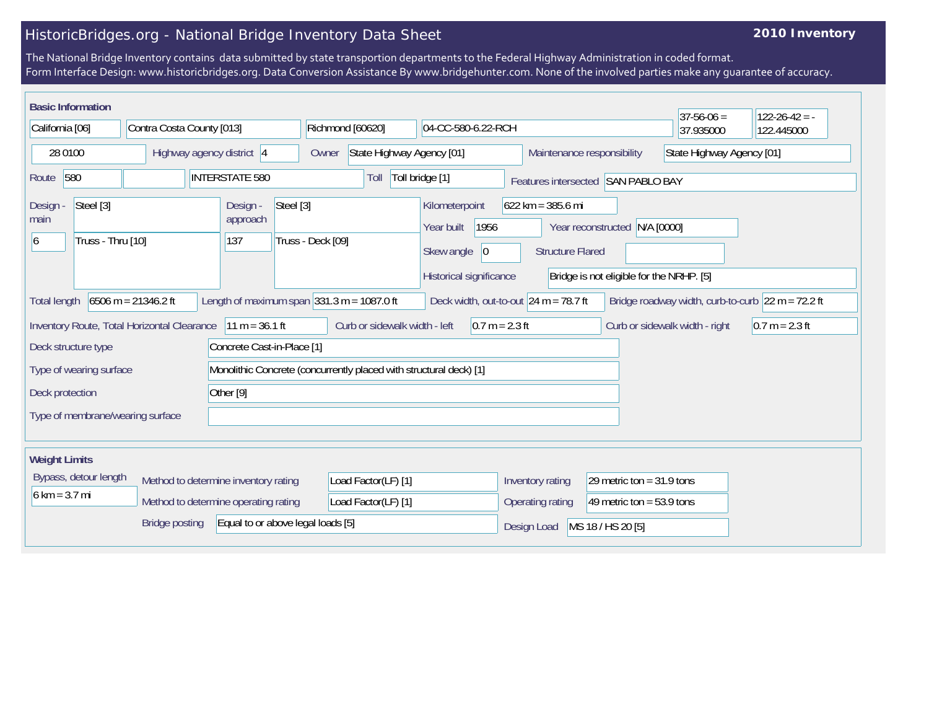## HistoricBridges.org - National Bridge Inventory Data Sheet

## **2010 Inventory**

The National Bridge Inventory contains data submitted by state transportion departments to the Federal Highway Administration in coded format. Form Interface Design: www.historicbridges.org. Data Conversion Assistance By www.bridgehunter.com. None of the involved parties make any guarantee of accuracy.

| <b>Basic Information</b><br>$37 - 56 - 06 =$<br>$122 - 26 - 42 = -$                                                                                                                                             |  |                           |                                                               |                                                               |                                                                                      |                                        |                                  |                                                                                                                                |                                                         |  |           |            |
|-----------------------------------------------------------------------------------------------------------------------------------------------------------------------------------------------------------------|--|---------------------------|---------------------------------------------------------------|---------------------------------------------------------------|--------------------------------------------------------------------------------------|----------------------------------------|----------------------------------|--------------------------------------------------------------------------------------------------------------------------------|---------------------------------------------------------|--|-----------|------------|
| California [06]                                                                                                                                                                                                 |  | Contra Costa County [013] |                                                               |                                                               |                                                                                      | Richmond [60620]<br>04-CC-580-6.22-RCH |                                  |                                                                                                                                |                                                         |  | 37.935000 | 122.445000 |
| 28 0100                                                                                                                                                                                                         |  | Highway agency district 4 |                                                               |                                                               |                                                                                      | State Highway Agency [01]<br>Owner     |                                  |                                                                                                                                | State Highway Agency [01]<br>Maintenance responsibility |  |           |            |
| 580<br><b>INTERSTATE 580</b><br>Route                                                                                                                                                                           |  |                           |                                                               | Toll bridge [1]<br>Toll<br>Features intersected SAN PABLO BAY |                                                                                      |                                        |                                  |                                                                                                                                |                                                         |  |           |            |
| Steel [3]<br>Design -<br>main<br>Truss - Thru [10]<br>6                                                                                                                                                         |  |                           | Steel [3]<br>Design -<br>approach<br>Truss - Deck [09]<br>137 |                                                               | Kilometerpoint<br>Year built<br>1956<br>Skew angle<br> 0 <br>Historical significance |                                        |                                  | $622$ km = 385.6 mi<br>N/A [0000]<br>Year reconstructed<br><b>Structure Flared</b><br>Bridge is not eligible for the NRHP. [5] |                                                         |  |           |            |
| $6506$ m = 21346.2 ft<br>Length of maximum span $ 331.3 \text{ m} = 1087.0 \text{ ft}$<br>Deck width, out-to-out $24 m = 78.7 ft$<br>Bridge roadway width, curb-to-curb $22 m = 72.2 ft$<br><b>Total length</b> |  |                           |                                                               |                                                               |                                                                                      |                                        |                                  |                                                                                                                                |                                                         |  |           |            |
| $11 m = 36.1 ft$<br>Curb or sidewalk width - left<br>$0.7 m = 2.3 ft$<br>Inventory Route, Total Horizontal Clearance<br>Curb or sidewalk width - right<br>$0.7 m = 2.3 ft$                                      |  |                           |                                                               |                                                               |                                                                                      |                                        |                                  |                                                                                                                                |                                                         |  |           |            |
| Concrete Cast-in-Place [1]<br>Deck structure type                                                                                                                                                               |  |                           |                                                               |                                                               |                                                                                      |                                        |                                  |                                                                                                                                |                                                         |  |           |            |
| Monolithic Concrete (concurrently placed with structural deck) [1]<br>Type of wearing surface                                                                                                                   |  |                           |                                                               |                                                               |                                                                                      |                                        |                                  |                                                                                                                                |                                                         |  |           |            |
| Other [9]<br>Deck protection                                                                                                                                                                                    |  |                           |                                                               |                                                               |                                                                                      |                                        |                                  |                                                                                                                                |                                                         |  |           |            |
| Type of membrane/wearing surface                                                                                                                                                                                |  |                           |                                                               |                                                               |                                                                                      |                                        |                                  |                                                                                                                                |                                                         |  |           |            |
| <b>Weight Limits</b>                                                                                                                                                                                            |  |                           |                                                               |                                                               |                                                                                      |                                        |                                  |                                                                                                                                |                                                         |  |           |            |
| Bypass, detour length                                                                                                                                                                                           |  |                           | Method to determine inventory rating                          |                                                               | Load Factor(LF) [1]                                                                  |                                        |                                  | 29 metric ton = $31.9$ tons<br>Inventory rating                                                                                |                                                         |  |           |            |
| $6 \text{ km} = 3.7 \text{ mi}$<br>Method to determine operating rating                                                                                                                                         |  |                           | Load Factor(LF) [1]                                           |                                                               |                                                                                      | Operating rating                       | 49 metric ton = $53.9$ tons      |                                                                                                                                |                                                         |  |           |            |
| <b>Bridge posting</b><br>Equal to or above legal loads [5]                                                                                                                                                      |  |                           |                                                               |                                                               |                                                                                      |                                        | MS 18 / HS 20 [5]<br>Design Load |                                                                                                                                |                                                         |  |           |            |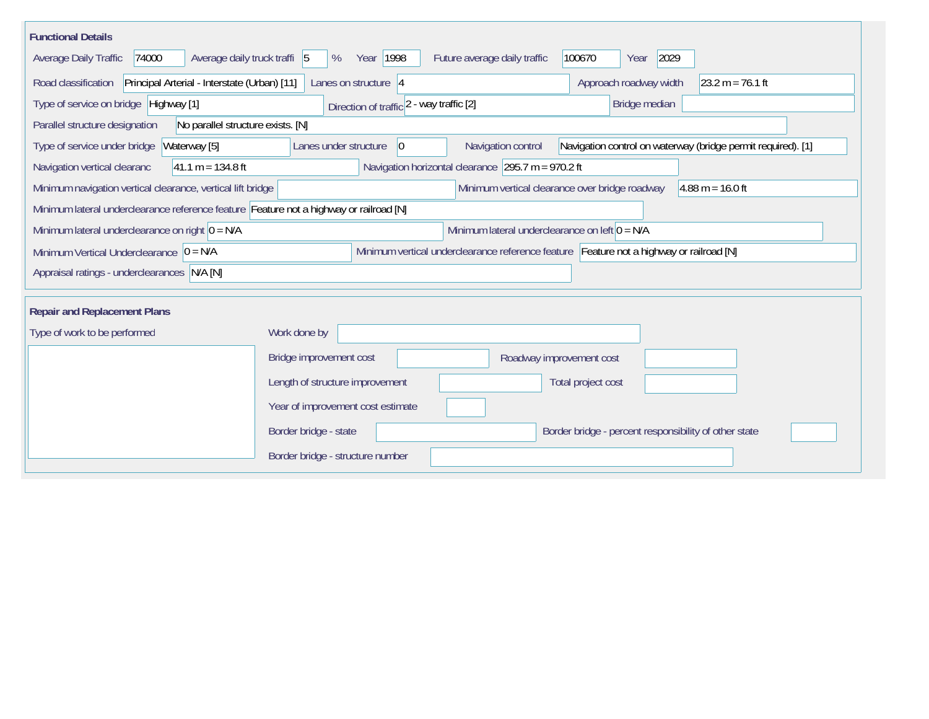| <b>Functional Details</b>                                                                                                    |                                                                                                                            |  |  |  |  |  |  |  |
|------------------------------------------------------------------------------------------------------------------------------|----------------------------------------------------------------------------------------------------------------------------|--|--|--|--|--|--|--|
| Average daily truck traffi 5<br>Average Daily Traffic<br>74000                                                               | Year 1998<br>Future average daily traffic<br>100670<br>2029<br>%<br>Year                                                   |  |  |  |  |  |  |  |
| Principal Arterial - Interstate (Urban) [11]<br>Road classification                                                          | Approach roadway width<br>$ 23.2 \text{ m} = 76.1 \text{ ft}$<br>Lanes on structure 4                                      |  |  |  |  |  |  |  |
| Type of service on bridge Highway [1]                                                                                        | Bridge median<br>Direction of traffic 2 - way traffic [2]                                                                  |  |  |  |  |  |  |  |
| No parallel structure exists. [N]<br>Parallel structure designation                                                          |                                                                                                                            |  |  |  |  |  |  |  |
| Type of service under bridge<br>Waterway [5]                                                                                 | Navigation control on waterway (bridge permit required). [1]<br>Navigation control<br>Lanes under structure<br>$ 0\rangle$ |  |  |  |  |  |  |  |
| Navigation horizontal clearance $295.7$ m = 970.2 ft<br>Navigation vertical clearanc<br>$ 41.1 \text{ m} = 134.8 \text{ ft}$ |                                                                                                                            |  |  |  |  |  |  |  |
| Minimum navigation vertical clearance, vertical lift bridge                                                                  | Minimum vertical clearance over bridge roadway<br>$4.88 \text{ m} = 16.0 \text{ ft}$                                       |  |  |  |  |  |  |  |
| Minimum lateral underclearance reference feature Feature not a highway or railroad [N]                                       |                                                                                                                            |  |  |  |  |  |  |  |
| Minimum lateral underclearance on left $0 = N/A$<br>Minimum lateral underclearance on right $0 = N/A$                        |                                                                                                                            |  |  |  |  |  |  |  |
| Minimum Vertical Underclearance $ 0 = N/A$                                                                                   | Minimum vertical underclearance reference feature Feature not a highway or railroad [N]                                    |  |  |  |  |  |  |  |
| Appraisal ratings - underclearances N/A [N]                                                                                  |                                                                                                                            |  |  |  |  |  |  |  |
|                                                                                                                              |                                                                                                                            |  |  |  |  |  |  |  |
| <b>Repair and Replacement Plans</b>                                                                                          |                                                                                                                            |  |  |  |  |  |  |  |
| Type of work to be performed                                                                                                 | Work done by                                                                                                               |  |  |  |  |  |  |  |
|                                                                                                                              | Bridge improvement cost<br>Roadway improvement cost                                                                        |  |  |  |  |  |  |  |
|                                                                                                                              | Length of structure improvement<br>Total project cost                                                                      |  |  |  |  |  |  |  |
|                                                                                                                              | Year of improvement cost estimate                                                                                          |  |  |  |  |  |  |  |
|                                                                                                                              | Border bridge - state<br>Border bridge - percent responsibility of other state                                             |  |  |  |  |  |  |  |
|                                                                                                                              | Border bridge - structure number                                                                                           |  |  |  |  |  |  |  |